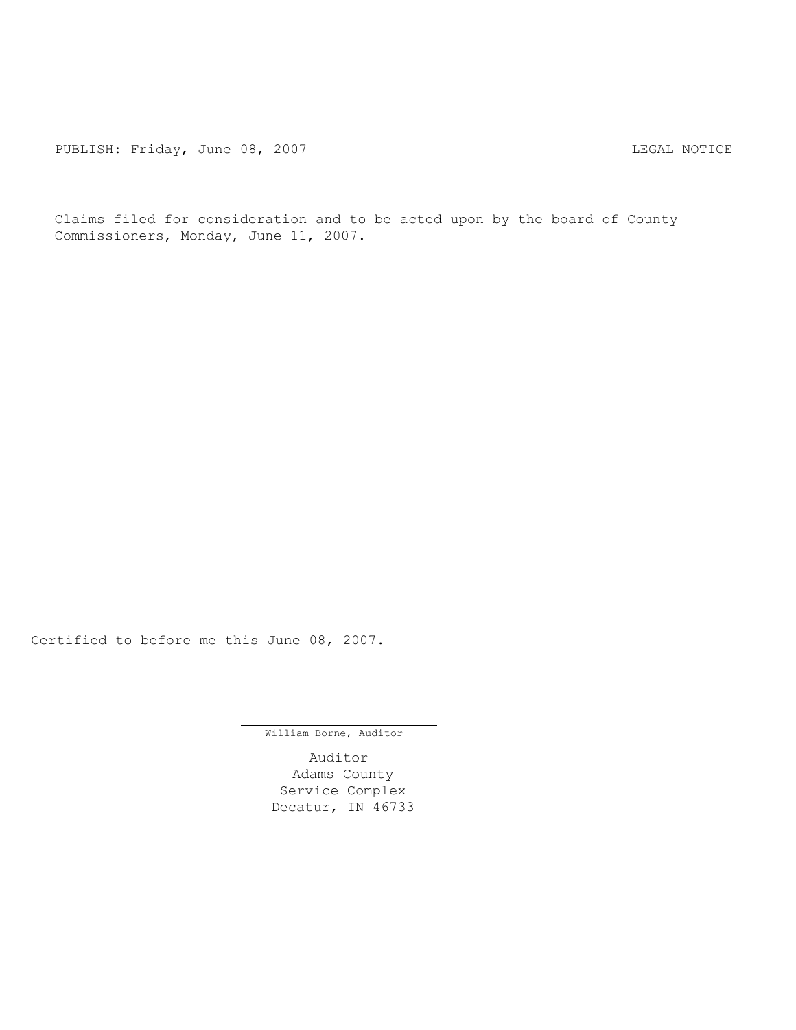PUBLISH: Friday, June 08, 2007 CONTENT CONTROLLY AND THE LEGAL NOTICE

Claims filed for consideration and to be acted upon by the board of County Commissioners, Monday, June 11, 2007.

Certified to before me this June 08, 2007.

William Borne, Auditor

Auditor Adams County Service Complex Decatur, IN 46733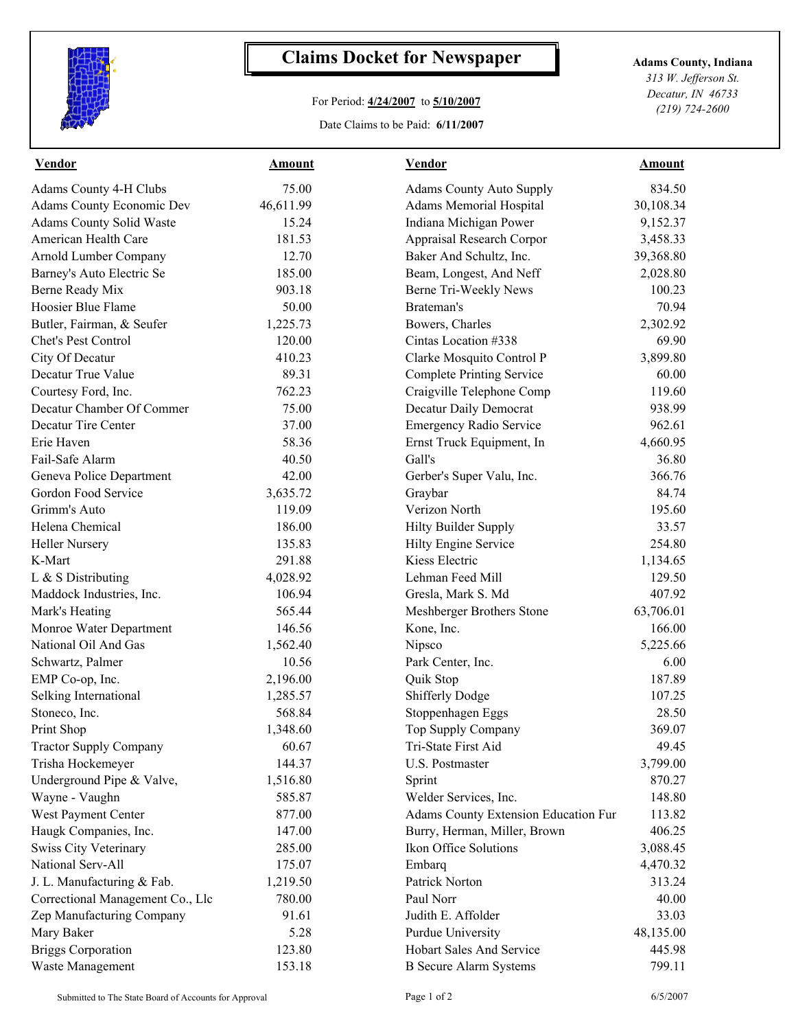

## **Claims Docket for Newspaper Adams County, Indiana**

## For Period: **4/24/2007** to **5/10/2007**

Date Claims to be Paid: **6/11/2007**

*313 W. Jefferson St. Decatur, IN 46733 (219) 724-2600*

| <b>Vendor</b>                    | <b>Amount</b> | <b>Vendor</b>                        | <b>Amount</b> |  |
|----------------------------------|---------------|--------------------------------------|---------------|--|
| Adams County 4-H Clubs           | 75.00         | <b>Adams County Auto Supply</b>      | 834.50        |  |
| Adams County Economic Dev        | 46,611.99     | <b>Adams Memorial Hospital</b>       | 30,108.34     |  |
| <b>Adams County Solid Waste</b>  | 15.24         | Indiana Michigan Power               | 9,152.37      |  |
| American Health Care             | 181.53        | Appraisal Research Corpor            | 3,458.33      |  |
| Arnold Lumber Company            | 12.70         | Baker And Schultz, Inc.              | 39,368.80     |  |
| Barney's Auto Electric Se        | 185.00        | Beam, Longest, And Neff              | 2,028.80      |  |
| Berne Ready Mix                  | 903.18        | Berne Tri-Weekly News                | 100.23        |  |
| Hoosier Blue Flame               | 50.00         | Brateman's                           | 70.94         |  |
| Butler, Fairman, & Seufer        | 1,225.73      | Bowers, Charles                      | 2,302.92      |  |
| Chet's Pest Control              | 120.00        | Cintas Location #338                 | 69.90         |  |
| City Of Decatur                  | 410.23        | Clarke Mosquito Control P            | 3,899.80      |  |
| Decatur True Value               | 89.31         | <b>Complete Printing Service</b>     | 60.00         |  |
| Courtesy Ford, Inc.              | 762.23        | Craigville Telephone Comp            | 119.60        |  |
| Decatur Chamber Of Commer        | 75.00         | Decatur Daily Democrat               | 938.99        |  |
| Decatur Tire Center              | 37.00         | <b>Emergency Radio Service</b>       | 962.61        |  |
| Erie Haven                       | 58.36         | Ernst Truck Equipment, In            | 4,660.95      |  |
| Fail-Safe Alarm                  | 40.50         | Gall's                               | 36.80         |  |
| Geneva Police Department         | 42.00         | Gerber's Super Valu, Inc.            | 366.76        |  |
| Gordon Food Service              | 3,635.72      | Graybar                              | 84.74         |  |
| Grimm's Auto                     | 119.09        | Verizon North                        | 195.60        |  |
| Helena Chemical                  | 186.00        | Hilty Builder Supply                 | 33.57         |  |
| <b>Heller Nursery</b>            | 135.83        | Hilty Engine Service                 | 254.80        |  |
| K-Mart                           | 291.88        | Kiess Electric                       | 1,134.65      |  |
| L & S Distributing               | 4,028.92      | Lehman Feed Mill                     | 129.50        |  |
| Maddock Industries, Inc.         | 106.94        | Gresla, Mark S. Md                   | 407.92        |  |
| Mark's Heating                   | 565.44        | Meshberger Brothers Stone            | 63,706.01     |  |
| Monroe Water Department          | 146.56        | Kone, Inc.                           | 166.00        |  |
| National Oil And Gas             | 1,562.40      | Nipsco                               | 5,225.66      |  |
| Schwartz, Palmer                 | 10.56         | Park Center, Inc.                    | 6.00          |  |
| EMP Co-op, Inc.                  | 2,196.00      | Quik Stop                            | 187.89        |  |
| Selking International            | 1,285.57      | <b>Shifferly Dodge</b>               | 107.25        |  |
| Stoneco, Inc.                    | 568.84        | Stoppenhagen Eggs                    | 28.50         |  |
| Print Shop                       | 1,348.60      | Top Supply Company                   | 369.07        |  |
| <b>Tractor Supply Company</b>    | 60.67         | Tri-State First Aid                  | 49.45         |  |
| Trisha Hockemeyer                | 144.37        | U.S. Postmaster                      | 3,799.00      |  |
| Underground Pipe & Valve,        | 1,516.80      | Sprint                               | 870.27        |  |
| Wayne - Vaughn                   | 585.87        | Welder Services, Inc.                | 148.80        |  |
| West Payment Center              | 877.00        | Adams County Extension Education Fur | 113.82        |  |
| Haugk Companies, Inc.            | 147.00        | Burry, Herman, Miller, Brown         | 406.25        |  |
| <b>Swiss City Veterinary</b>     | 285.00        | Ikon Office Solutions                | 3,088.45      |  |
| National Serv-All                | 175.07        | Embarq                               | 4,470.32      |  |
| J. L. Manufacturing & Fab.       | 1,219.50      | Patrick Norton                       | 313.24        |  |
| Correctional Management Co., Llc | 780.00        | Paul Norr                            | 40.00         |  |
| Zep Manufacturing Company        | 91.61         | Judith E. Affolder                   | 33.03         |  |
| Mary Baker                       | 5.28          | <b>Purdue University</b>             | 48,135.00     |  |
| <b>Briggs Corporation</b>        | 123.80        | Hobart Sales And Service             | 445.98        |  |
| Waste Management                 | 153.18        | <b>B</b> Secure Alarm Systems        | 799.11        |  |